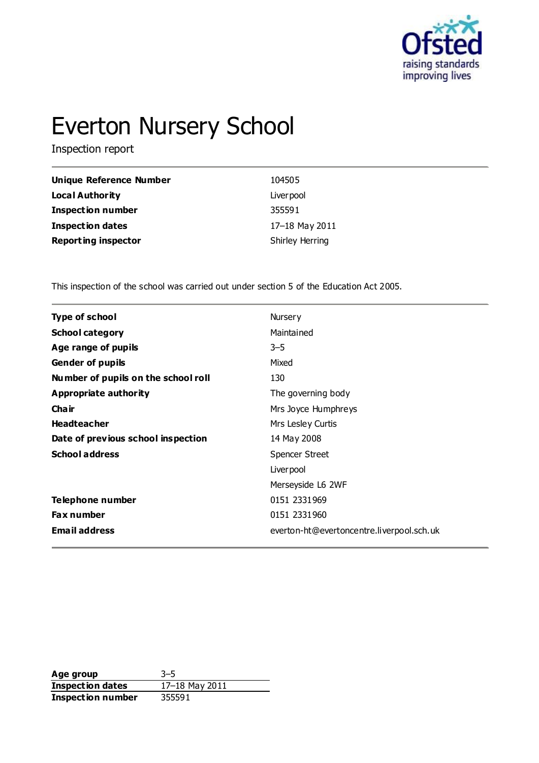

# Everton Nursery School

Inspection report

| <b>Unique Reference Number</b> | 104505          |
|--------------------------------|-----------------|
| Local Authority                | Liver pool      |
| <b>Inspection number</b>       | 355591          |
| <b>Inspection dates</b>        | 17-18 May 2011  |
| <b>Reporting inspector</b>     | Shirley Herring |

This inspection of the school was carried out under section 5 of the Education Act 2005.

| <b>Type of school</b>               | Nursery                                   |
|-------------------------------------|-------------------------------------------|
| <b>School category</b>              | Maintained                                |
| Age range of pupils                 | $3 - 5$                                   |
| <b>Gender of pupils</b>             | Mixed                                     |
| Number of pupils on the school roll | 130                                       |
| <b>Appropriate authority</b>        | The governing body                        |
| Cha ir                              | Mrs Joyce Humphreys                       |
| <b>Headteacher</b>                  | Mrs Lesley Curtis                         |
| Date of previous school inspection  | 14 May 2008                               |
| <b>School address</b>               | <b>Spencer Street</b>                     |
|                                     | Liver pool                                |
|                                     | Merseyside L6 2WF                         |
| Telephone number                    | 0151 2331969                              |
| <b>Fax number</b>                   | 0151 2331960                              |
| <b>Email address</b>                | everton-ht@evertoncentre.liverpool.sch.uk |
|                                     |                                           |

**Age group** 3–5 **Inspection dates** 17–18 May 2011 **Inspection number** 355591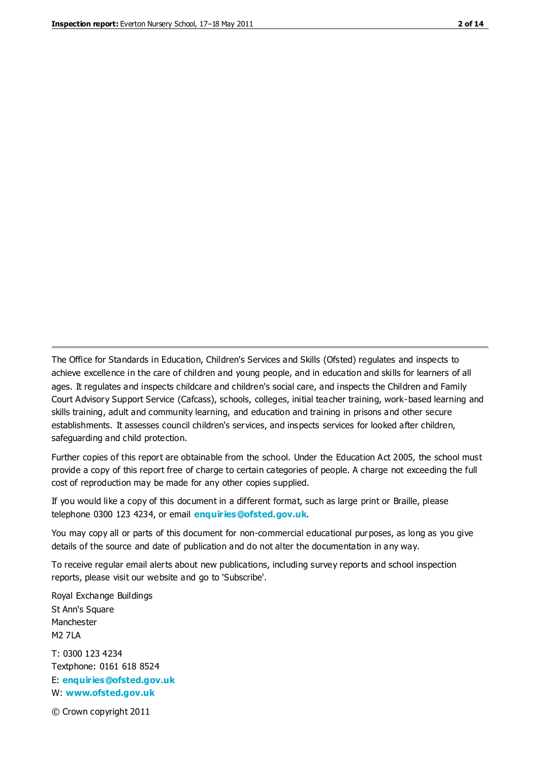The Office for Standards in Education, Children's Services and Skills (Ofsted) regulates and inspects to achieve excellence in the care of children and young people, and in education and skills for learners of all ages. It regulates and inspects childcare and children's social care, and inspects the Children and Family Court Advisory Support Service (Cafcass), schools, colleges, initial teacher training, work-based learning and skills training, adult and community learning, and education and training in prisons and other secure establishments. It assesses council children's services, and inspects services for looked after children, safeguarding and child protection.

Further copies of this report are obtainable from the school. Under the Education Act 2005, the school must provide a copy of this report free of charge to certain categories of people. A charge not exceeding the full cost of reproduction may be made for any other copies supplied.

If you would like a copy of this document in a different format, such as large print or Braille, please telephone 0300 123 4234, or email **[enquiries@ofsted.gov.uk](mailto:enquiries@ofsted.gov.uk)**.

You may copy all or parts of this document for non-commercial educational purposes, as long as you give details of the source and date of publication and do not alter the documentation in any way.

To receive regular email alerts about new publications, including survey reports and school inspection reports, please visit our website and go to 'Subscribe'.

Royal Exchange Buildings St Ann's Square Manchester M2 7LA T: 0300 123 4234 Textphone: 0161 618 8524 E: **[enquiries@ofsted.gov.uk](mailto:enquiries@ofsted.gov.uk)**

W: **[www.ofsted.gov.uk](http://www.ofsted.gov.uk/)**

© Crown copyright 2011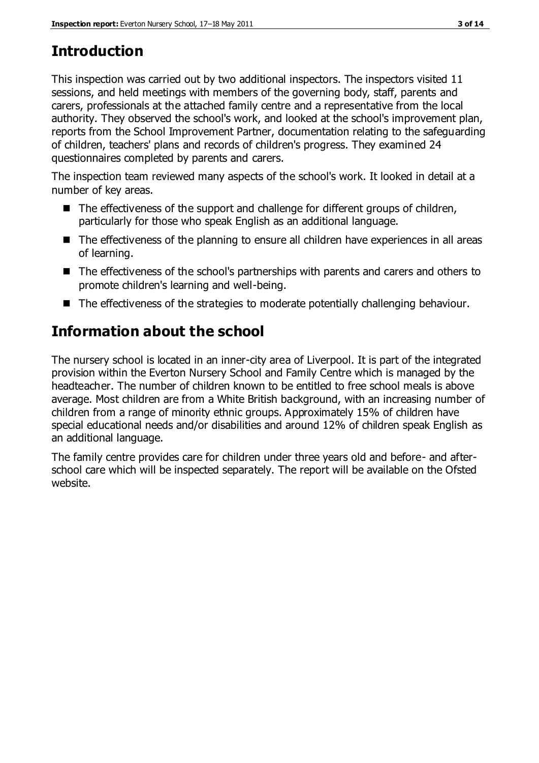# **Introduction**

This inspection was carried out by two additional inspectors. The inspectors visited 11 sessions, and held meetings with members of the governing body, staff, parents and carers, professionals at the attached family centre and a representative from the local authority. They observed the school's work, and looked at the school's improvement plan, reports from the School Improvement Partner, documentation relating to the safeguarding of children, teachers' plans and records of children's progress. They examined 24 questionnaires completed by parents and carers.

The inspection team reviewed many aspects of the school's work. It looked in detail at a number of key areas.

- The effectiveness of the support and challenge for different groups of children, particularly for those who speak English as an additional language.
- The effectiveness of the planning to ensure all children have experiences in all areas of learning.
- The effectiveness of the school's partnerships with parents and carers and others to promote children's learning and well-being.
- The effectiveness of the strategies to moderate potentially challenging behaviour.

# **Information about the school**

The nursery school is located in an inner-city area of Liverpool. It is part of the integrated provision within the Everton Nursery School and Family Centre which is managed by the headteacher. The number of children known to be entitled to free school meals is above average. Most children are from a White British background, with an increasing number of children from a range of minority ethnic groups. Approximately 15% of children have special educational needs and/or disabilities and around 12% of children speak English as an additional language.

The family centre provides care for children under three years old and before- and afterschool care which will be inspected separately. The report will be available on the Ofsted website.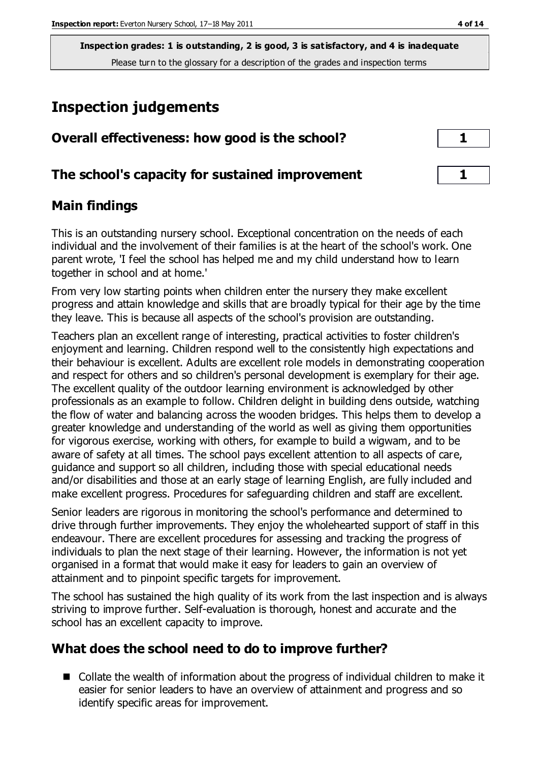# **Inspection judgements**

| Overall effectiveness: how good is the school?  |  |
|-------------------------------------------------|--|
| The school's capacity for sustained improvement |  |

## **Main findings**

This is an outstanding nursery school. Exceptional concentration on the needs of each individual and the involvement of their families is at the heart of the school's work. One parent wrote, 'I feel the school has helped me and my child understand how to learn together in school and at home.'

From very low starting points when children enter the nursery they make excellent progress and attain knowledge and skills that are broadly typical for their age by the time they leave. This is because all aspects of the school's provision are outstanding.

Teachers plan an excellent range of interesting, practical activities to foster children's enjoyment and learning. Children respond well to the consistently high expectations and their behaviour is excellent. Adults are excellent role models in demonstrating cooperation and respect for others and so children's personal development is exemplary for their age. The excellent quality of the outdoor learning environment is acknowledged by other professionals as an example to follow. Children delight in building dens outside, watching the flow of water and balancing across the wooden bridges. This helps them to develop a greater knowledge and understanding of the world as well as giving them opportunities for vigorous exercise, working with others, for example to build a wigwam, and to be aware of safety at all times. The school pays excellent attention to all aspects of care, guidance and support so all children, including those with special educational needs and/or disabilities and those at an early stage of learning English, are fully included and make excellent progress. Procedures for safeguarding children and staff are excellent.

Senior leaders are rigorous in monitoring the school's performance and determined to drive through further improvements. They enjoy the wholehearted support of staff in this endeavour. There are excellent procedures for assessing and tracking the progress of individuals to plan the next stage of their learning. However, the information is not yet organised in a format that would make it easy for leaders to gain an overview of attainment and to pinpoint specific targets for improvement.

The school has sustained the high quality of its work from the last inspection and is always striving to improve further. Self-evaluation is thorough, honest and accurate and the school has an excellent capacity to improve.

# **What does the school need to do to improve further?**

■ Collate the wealth of information about the progress of individual children to make it easier for senior leaders to have an overview of attainment and progress and so identify specific areas for improvement.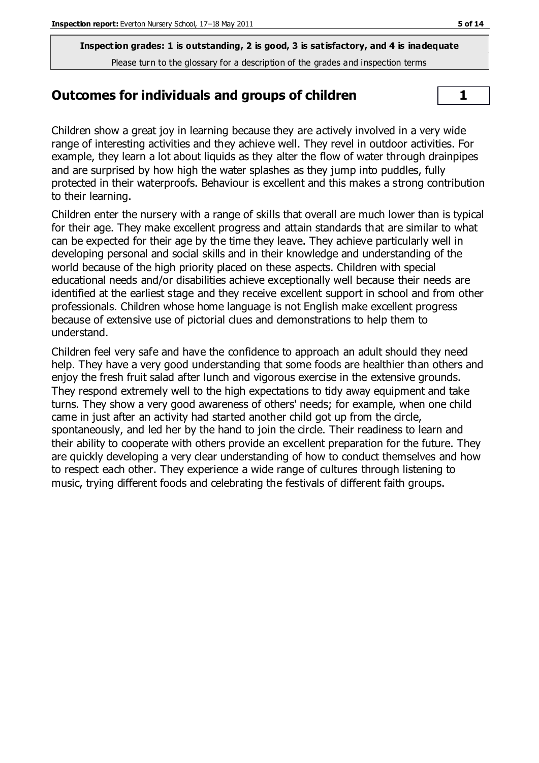#### **Outcomes for individuals and groups of children**  $\vert$  1

Children show a great joy in learning because they are actively involved in a very wide range of interesting activities and they achieve well. They revel in outdoor activities. For example, they learn a lot about liquids as they alter the flow of water through drainpipes and are surprised by how high the water splashes as they jump into puddles, fully protected in their waterproofs. Behaviour is excellent and this makes a strong contribution to their learning.

Children enter the nursery with a range of skills that overall are much lower than is typical for their age. They make excellent progress and attain standards that are similar to what can be expected for their age by the time they leave. They achieve particularly well in developing personal and social skills and in their knowledge and understanding of the world because of the high priority placed on these aspects. Children with special educational needs and/or disabilities achieve exceptionally well because their needs are identified at the earliest stage and they receive excellent support in school and from other professionals. Children whose home language is not English make excellent progress because of extensive use of pictorial clues and demonstrations to help them to understand.

Children feel very safe and have the confidence to approach an adult should they need help. They have a very good understanding that some foods are healthier than others and enjoy the fresh fruit salad after lunch and vigorous exercise in the extensive grounds. They respond extremely well to the high expectations to tidy away equipment and take turns. They show a very good awareness of others' needs; for example, when one child came in just after an activity had started another child got up from the circle, spontaneously, and led her by the hand to join the circle. Their readiness to learn and their ability to cooperate with others provide an excellent preparation for the future. They are quickly developing a very clear understanding of how to conduct themselves and how to respect each other. They experience a wide range of cultures through listening to music, trying different foods and celebrating the festivals of different faith groups.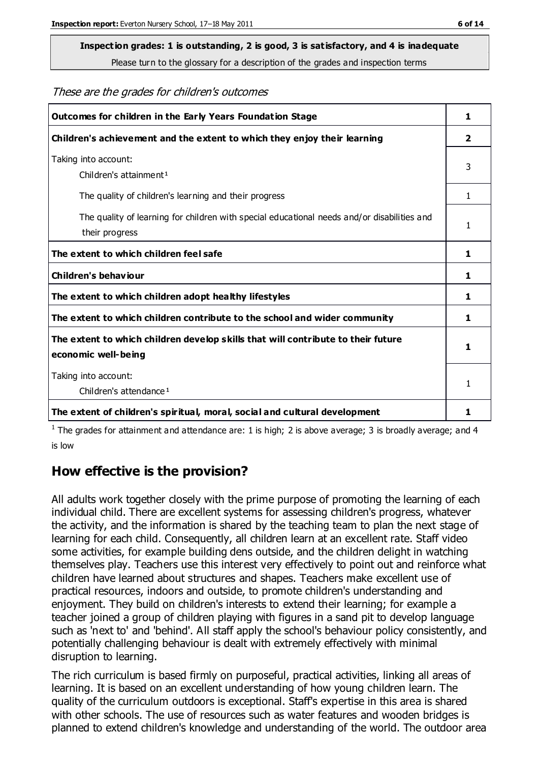#### **Inspection grades: 1 is outstanding, 2 is good, 3 is satisfactory, and 4 is inadequate**

Please turn to the glossary for a description of the grades and inspection terms

#### These are the grades for children's outcomes

| Outcomes for children in the Early Years Foundation Stage                                   |    |
|---------------------------------------------------------------------------------------------|----|
| Children's achievement and the extent to which they enjoy their learning                    |    |
| Taking into account:                                                                        | 3  |
| Children's attainment <sup>1</sup>                                                          |    |
| The quality of children's learning and their progress                                       | 1. |
| The quality of learning for children with special educational needs and/or disabilities and | 1  |
| their progress                                                                              |    |
| The extent to which children feel safe                                                      |    |
| <b>Children's behaviour</b>                                                                 | 1  |
| The extent to which children adopt healthy lifestyles                                       |    |
| The extent to which children contribute to the school and wider community                   |    |
| The extent to which children develop skills that will contribute to their future            | 1  |
| economic well-being                                                                         |    |
| Taking into account:                                                                        | 1  |
| Children's attendance <sup>1</sup>                                                          |    |
| The extent of children's spiritual, moral, social and cultural development                  | 1  |

<sup>1</sup> The grades for attainment and attendance are: 1 is high; 2 is above average; 3 is broadly average; and 4 is low

## **How effective is the provision?**

All adults work together closely with the prime purpose of promoting the learning of each individual child. There are excellent systems for assessing children's progress, whatever the activity, and the information is shared by the teaching team to plan the next stage of learning for each child. Consequently, all children learn at an excellent rate. Staff video some activities, for example building dens outside, and the children delight in watching themselves play. Teachers use this interest very effectively to point out and reinforce what children have learned about structures and shapes. Teachers make excellent use of practical resources, indoors and outside, to promote children's understanding and enjoyment. They build on children's interests to extend their learning; for example a teacher joined a group of children playing with figures in a sand pit to develop language such as 'next to' and 'behind'. All staff apply the school's behaviour policy consistently, and potentially challenging behaviour is dealt with extremely effectively with minimal disruption to learning.

The rich curriculum is based firmly on purposeful, practical activities, linking all areas of learning. It is based on an excellent understanding of how young children learn. The quality of the curriculum outdoors is exceptional. Staff's expertise in this area is shared with other schools. The use of resources such as water features and wooden bridges is planned to extend children's knowledge and understanding of the world. The outdoor area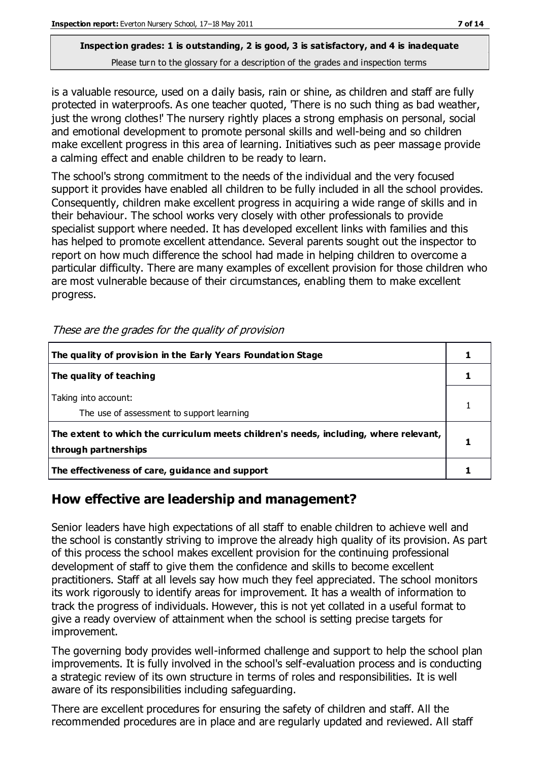is a valuable resource, used on a daily basis, rain or shine, as children and staff are fully protected in waterproofs. As one teacher quoted, 'There is no such thing as bad weather, just the wrong clothes!' The nursery rightly places a strong emphasis on personal, social and emotional development to promote personal skills and well-being and so children make excellent progress in this area of learning. Initiatives such as peer massage provide a calming effect and enable children to be ready to learn.

The school's strong commitment to the needs of the individual and the very focused support it provides have enabled all children to be fully included in all the school provides. Consequently, children make excellent progress in acquiring a wide range of skills and in their behaviour. The school works very closely with other professionals to provide specialist support where needed. It has developed excellent links with families and this has helped to promote excellent attendance. Several parents sought out the inspector to report on how much difference the school had made in helping children to overcome a particular difficulty. There are many examples of excellent provision for those children who are most vulnerable because of their circumstances, enabling them to make excellent progress.

| The quality of provision in the Early Years Foundation Stage                                                  |  |
|---------------------------------------------------------------------------------------------------------------|--|
| The quality of teaching                                                                                       |  |
| Taking into account:<br>The use of assessment to support learning                                             |  |
| The extent to which the curriculum meets children's needs, including, where relevant,<br>through partnerships |  |
| The effectiveness of care, guidance and support                                                               |  |

These are the grades for the quality of provision

## **How effective are leadership and management?**

Senior leaders have high expectations of all staff to enable children to achieve well and the school is constantly striving to improve the already high quality of its provision. As part of this process the school makes excellent provision for the continuing professional development of staff to give them the confidence and skills to become excellent practitioners. Staff at all levels say how much they feel appreciated. The school monitors its work rigorously to identify areas for improvement. It has a wealth of information to track the progress of individuals. However, this is not yet collated in a useful format to give a ready overview of attainment when the school is setting precise targets for improvement.

The governing body provides well-informed challenge and support to help the school plan improvements. It is fully involved in the school's self-evaluation process and is conducting a strategic review of its own structure in terms of roles and responsibilities. It is well aware of its responsibilities including safeguarding.

There are excellent procedures for ensuring the safety of children and staff. All the recommended procedures are in place and are regularly updated and reviewed. All staff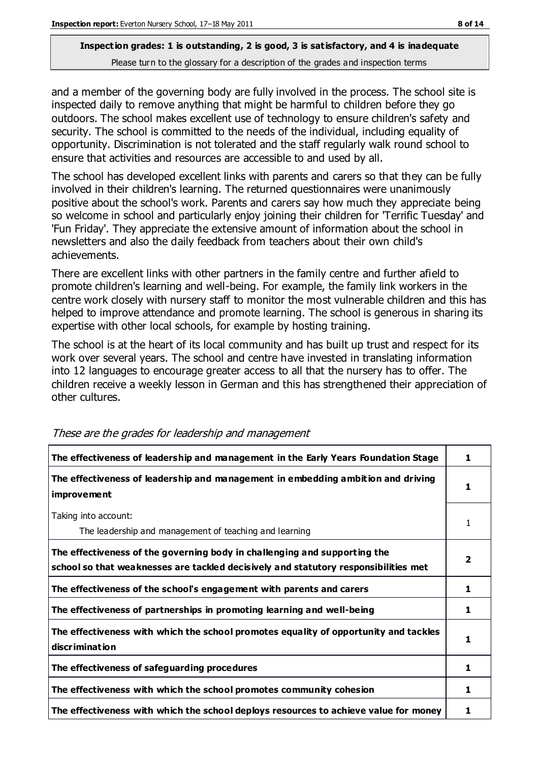and a member of the governing body are fully involved in the process. The school site is inspected daily to remove anything that might be harmful to children before they go outdoors. The school makes excellent use of technology to ensure children's safety and security. The school is committed to the needs of the individual, including equality of opportunity. Discrimination is not tolerated and the staff regularly walk round school to ensure that activities and resources are accessible to and used by all.

The school has developed excellent links with parents and carers so that they can be fully involved in their children's learning. The returned questionnaires were unanimously positive about the school's work. Parents and carers say how much they appreciate being so welcome in school and particularly enjoy joining their children for 'Terrific Tuesday' and 'Fun Friday'. They appreciate the extensive amount of information about the school in newsletters and also the daily feedback from teachers about their own child's achievements.

There are excellent links with other partners in the family centre and further afield to promote children's learning and well-being. For example, the family link workers in the centre work closely with nursery staff to monitor the most vulnerable children and this has helped to improve attendance and promote learning. The school is generous in sharing its expertise with other local schools, for example by hosting training.

The school is at the heart of its local community and has built up trust and respect for its work over several years. The school and centre have invested in translating information into 12 languages to encourage greater access to all that the nursery has to offer. The children receive a weekly lesson in German and this has strengthened their appreciation of other cultures.

| The effectiveness of leadership and management in the Early Years Foundation Stage                                                                               | 1 |
|------------------------------------------------------------------------------------------------------------------------------------------------------------------|---|
| The effectiveness of leadership and management in embedding ambition and driving<br><i>improvement</i>                                                           | 1 |
| Taking into account:<br>The leadership and management of teaching and learning                                                                                   | 1 |
| The effectiveness of the governing body in challenging and supporting the<br>school so that weaknesses are tackled decisively and statutory responsibilities met | 2 |
| The effectiveness of the school's engagement with parents and carers                                                                                             | 1 |
| The effectiveness of partnerships in promoting learning and well-being                                                                                           | 1 |
| The effectiveness with which the school promotes equality of opportunity and tackles<br>discrimination                                                           | 1 |
| The effectiveness of safeguarding procedures                                                                                                                     | 1 |
| The effectiveness with which the school promotes community cohesion                                                                                              | 1 |
| The effectiveness with which the school deploys resources to achieve value for money                                                                             | 1 |

These are the grades for leadership and management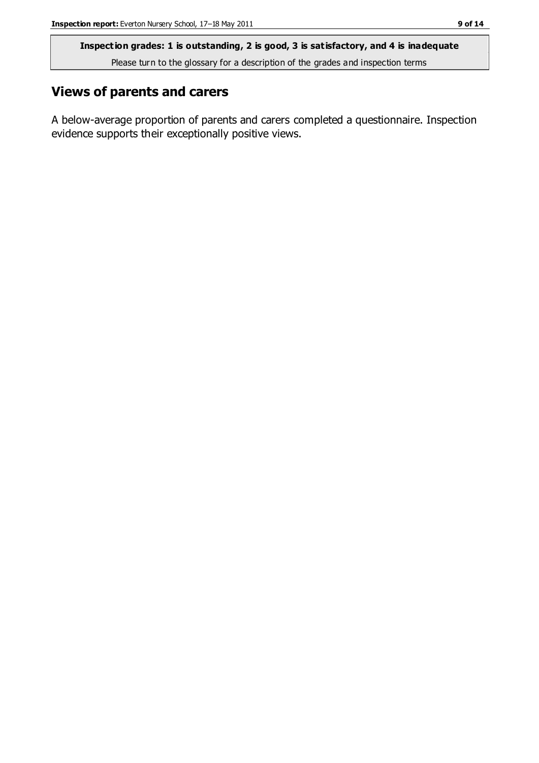## **Views of parents and carers**

A below-average proportion of parents and carers completed a questionnaire. Inspection evidence supports their exceptionally positive views.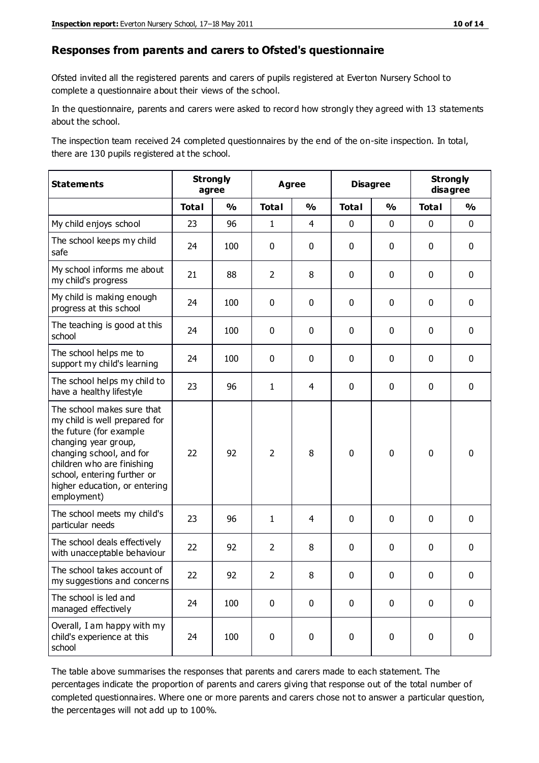#### **Responses from parents and carers to Ofsted's questionnaire**

Ofsted invited all the registered parents and carers of pupils registered at Everton Nursery School to complete a questionnaire about their views of the school.

In the questionnaire, parents and carers were asked to record how strongly they agreed with 13 statements about the school.

The inspection team received 24 completed questionnaires by the end of the on-site inspection. In total, there are 130 pupils registered at the school.

| <b>Statements</b>                                                                                                                                                                                                                                       | <b>Strongly</b><br>agree |               | <b>Agree</b>   |               |              | <b>Disagree</b> |              | <b>Strongly</b><br>disagree |  |
|---------------------------------------------------------------------------------------------------------------------------------------------------------------------------------------------------------------------------------------------------------|--------------------------|---------------|----------------|---------------|--------------|-----------------|--------------|-----------------------------|--|
|                                                                                                                                                                                                                                                         | <b>Total</b>             | $\frac{0}{0}$ | <b>Total</b>   | $\frac{0}{0}$ | <b>Total</b> | $\frac{0}{0}$   | <b>Total</b> | $\frac{0}{0}$               |  |
| My child enjoys school                                                                                                                                                                                                                                  | 23                       | 96            | $\mathbf{1}$   | 4             | 0            | 0               | $\mathbf 0$  | $\mathbf 0$                 |  |
| The school keeps my child<br>safe                                                                                                                                                                                                                       | 24                       | 100           | $\mathbf 0$    | 0             | 0            | 0               | 0            | $\mathbf 0$                 |  |
| My school informs me about<br>my child's progress                                                                                                                                                                                                       | 21                       | 88            | $\overline{2}$ | 8             | 0            | $\mathbf{0}$    | $\mathbf 0$  | $\mathbf 0$                 |  |
| My child is making enough<br>progress at this school                                                                                                                                                                                                    | 24                       | 100           | $\mathbf 0$    | 0             | 0            | 0               | $\mathbf 0$  | $\mathbf 0$                 |  |
| The teaching is good at this<br>school                                                                                                                                                                                                                  | 24                       | 100           | $\mathbf 0$    | 0             | 0            | 0               | $\mathbf 0$  | $\mathbf 0$                 |  |
| The school helps me to<br>support my child's learning                                                                                                                                                                                                   | 24                       | 100           | 0              | 0             | 0            | 0               | 0            | $\mathbf 0$                 |  |
| The school helps my child to<br>have a healthy lifestyle                                                                                                                                                                                                | 23                       | 96            | $\mathbf{1}$   | 4             | 0            | 0               | $\mathbf 0$  | $\mathbf 0$                 |  |
| The school makes sure that<br>my child is well prepared for<br>the future (for example<br>changing year group,<br>changing school, and for<br>children who are finishing<br>school, entering further or<br>higher education, or entering<br>employment) | 22                       | 92            | $\overline{2}$ | 8             | $\mathbf 0$  | $\mathbf 0$     | $\mathbf 0$  | $\mathbf 0$                 |  |
| The school meets my child's<br>particular needs                                                                                                                                                                                                         | 23                       | 96            | 1              | 4             | 0            | 0               | $\mathbf 0$  | $\mathbf 0$                 |  |
| The school deals effectively<br>with unacceptable behaviour                                                                                                                                                                                             | 22                       | 92            | $\overline{2}$ | 8             | 0            | 0               | $\mathbf 0$  | 0                           |  |
| The school takes account of<br>my suggestions and concerns                                                                                                                                                                                              | 22                       | 92            | $\overline{2}$ | 8             | 0            | 0               | 0            | 0                           |  |
| The school is led and<br>managed effectively                                                                                                                                                                                                            | 24                       | 100           | $\pmb{0}$      | $\pmb{0}$     | 0            | $\mathbf 0$     | $\mathbf 0$  | $\mathbf 0$                 |  |
| Overall, I am happy with my<br>child's experience at this<br>school                                                                                                                                                                                     | 24                       | 100           | $\pmb{0}$      | $\pmb{0}$     | $\pmb{0}$    | 0               | $\mathbf 0$  | $\mathbf 0$                 |  |

The table above summarises the responses that parents and carers made to each statement. The percentages indicate the proportion of parents and carers giving that response out of the total number of completed questionnaires. Where one or more parents and carers chose not to answer a particular question, the percentages will not add up to 100%.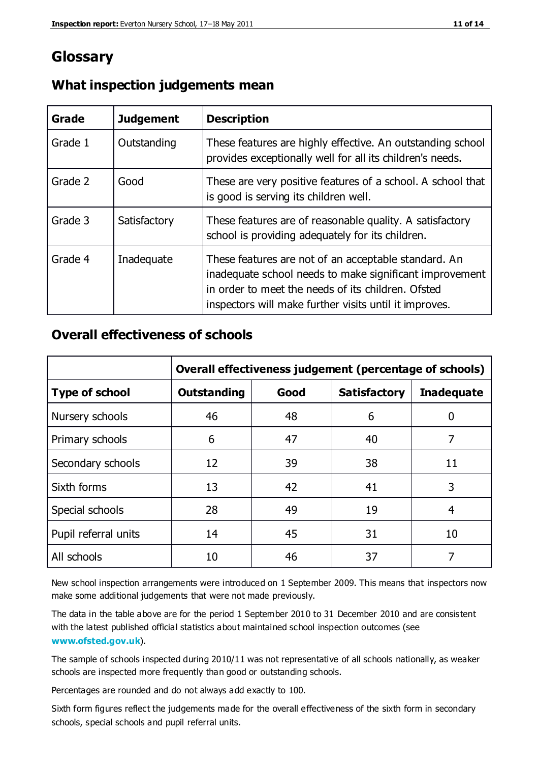# **Glossary**

| Grade   | <b>Judgement</b> | <b>Description</b>                                                                                                                                                                                                              |
|---------|------------------|---------------------------------------------------------------------------------------------------------------------------------------------------------------------------------------------------------------------------------|
| Grade 1 | Outstanding      | These features are highly effective. An outstanding school<br>provides exceptionally well for all its children's needs.                                                                                                         |
| Grade 2 | Good             | These are very positive features of a school. A school that<br>is good is serving its children well.                                                                                                                            |
| Grade 3 | Satisfactory     | These features are of reasonable quality. A satisfactory<br>school is providing adequately for its children.                                                                                                                    |
| Grade 4 | Inadequate       | These features are not of an acceptable standard. An<br>inadequate school needs to make significant improvement<br>in order to meet the needs of its children. Ofsted<br>inspectors will make further visits until it improves. |

### **What inspection judgements mean**

## **Overall effectiveness of schools**

|                       | Overall effectiveness judgement (percentage of schools) |      |                     |                   |
|-----------------------|---------------------------------------------------------|------|---------------------|-------------------|
| <b>Type of school</b> | <b>Outstanding</b>                                      | Good | <b>Satisfactory</b> | <b>Inadequate</b> |
| Nursery schools       | 46                                                      | 48   | 6                   |                   |
| Primary schools       | 6                                                       | 47   | 40                  | 7                 |
| Secondary schools     | 12                                                      | 39   | 38                  | 11                |
| Sixth forms           | 13                                                      | 42   | 41                  | 3                 |
| Special schools       | 28                                                      | 49   | 19                  | 4                 |
| Pupil referral units  | 14                                                      | 45   | 31                  | 10                |
| All schools           | 10                                                      | 46   | 37                  |                   |

New school inspection arrangements were introduced on 1 September 2009. This means that inspectors now make some additional judgements that were not made previously.

The data in the table above are for the period 1 September 2010 to 31 December 2010 and are consistent with the latest published official statistics about maintained school inspection outcomes (see **[www.ofsted.gov.uk](http://www.ofsted.gov.uk/)**).

The sample of schools inspected during 2010/11 was not representative of all schools nationally, as weaker schools are inspected more frequently than good or outstanding schools.

Percentages are rounded and do not always add exactly to 100.

Sixth form figures reflect the judgements made for the overall effectiveness of the sixth form in secondary schools, special schools and pupil referral units.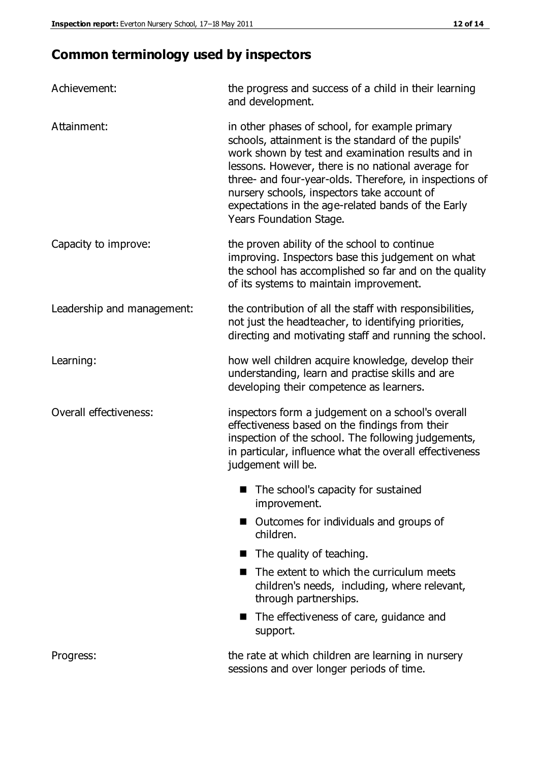# **Common terminology used by inspectors**

| Achievement:               | the progress and success of a child in their learning<br>and development.                                                                                                                                                                                                                                                                                                                                  |  |  |
|----------------------------|------------------------------------------------------------------------------------------------------------------------------------------------------------------------------------------------------------------------------------------------------------------------------------------------------------------------------------------------------------------------------------------------------------|--|--|
| Attainment:                | in other phases of school, for example primary<br>schools, attainment is the standard of the pupils'<br>work shown by test and examination results and in<br>lessons. However, there is no national average for<br>three- and four-year-olds. Therefore, in inspections of<br>nursery schools, inspectors take account of<br>expectations in the age-related bands of the Early<br>Years Foundation Stage. |  |  |
| Capacity to improve:       | the proven ability of the school to continue<br>improving. Inspectors base this judgement on what<br>the school has accomplished so far and on the quality<br>of its systems to maintain improvement.                                                                                                                                                                                                      |  |  |
| Leadership and management: | the contribution of all the staff with responsibilities,<br>not just the headteacher, to identifying priorities,<br>directing and motivating staff and running the school.                                                                                                                                                                                                                                 |  |  |
| Learning:                  | how well children acquire knowledge, develop their<br>understanding, learn and practise skills and are<br>developing their competence as learners.                                                                                                                                                                                                                                                         |  |  |
| Overall effectiveness:     | inspectors form a judgement on a school's overall<br>effectiveness based on the findings from their<br>inspection of the school. The following judgements,<br>in particular, influence what the overall effectiveness<br>judgement will be.                                                                                                                                                                |  |  |
|                            | The school's capacity for sustained<br>improvement.                                                                                                                                                                                                                                                                                                                                                        |  |  |
|                            | Outcomes for individuals and groups of<br>children.                                                                                                                                                                                                                                                                                                                                                        |  |  |
|                            | The quality of teaching.                                                                                                                                                                                                                                                                                                                                                                                   |  |  |
|                            | The extent to which the curriculum meets<br>children's needs, including, where relevant,<br>through partnerships.                                                                                                                                                                                                                                                                                          |  |  |
|                            | The effectiveness of care, guidance and<br>support.                                                                                                                                                                                                                                                                                                                                                        |  |  |
| Progress:                  | the rate at which children are learning in nursery<br>sessions and over longer periods of time.                                                                                                                                                                                                                                                                                                            |  |  |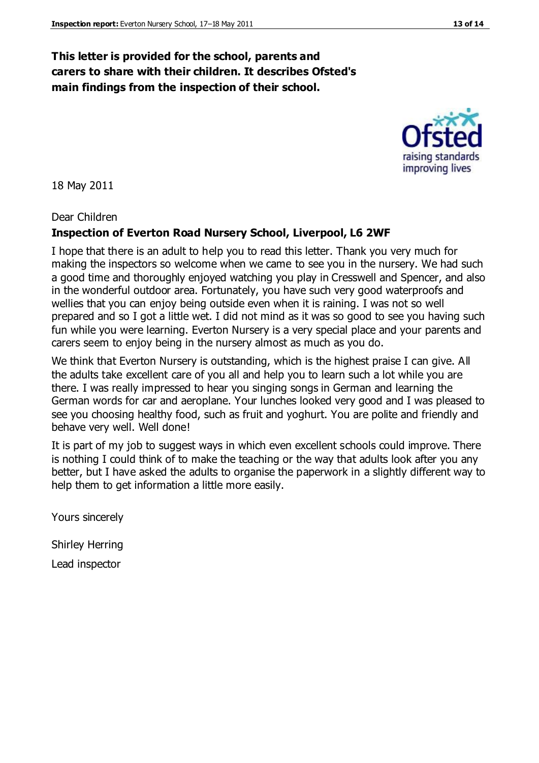### **This letter is provided for the school, parents and carers to share with their children. It describes Ofsted's main findings from the inspection of their school.**

18 May 2011

Dear Children

#### **Inspection of Everton Road Nursery School, Liverpool, L6 2WF**

I hope that there is an adult to help you to read this letter. Thank you very much for making the inspectors so welcome when we came to see you in the nursery. We had such a good time and thoroughly enjoyed watching you play in Cresswell and Spencer, and also in the wonderful outdoor area. Fortunately, you have such very good waterproofs and wellies that you can enjoy being outside even when it is raining. I was not so well prepared and so I got a little wet. I did not mind as it was so good to see you having such fun while you were learning. Everton Nursery is a very special place and your parents and carers seem to enjoy being in the nursery almost as much as you do.

We think that Everton Nursery is outstanding, which is the highest praise I can give. All the adults take excellent care of you all and help you to learn such a lot while you are there. I was really impressed to hear you singing songs in German and learning the German words for car and aeroplane. Your lunches looked very good and I was pleased to see you choosing healthy food, such as fruit and yoghurt. You are polite and friendly and behave very well. Well done!

It is part of my job to suggest ways in which even excellent schools could improve. There is nothing I could think of to make the teaching or the way that adults look after you any better, but I have asked the adults to organise the paperwork in a slightly different way to help them to get information a little more easily.

Yours sincerely

Shirley Herring

Lead inspector